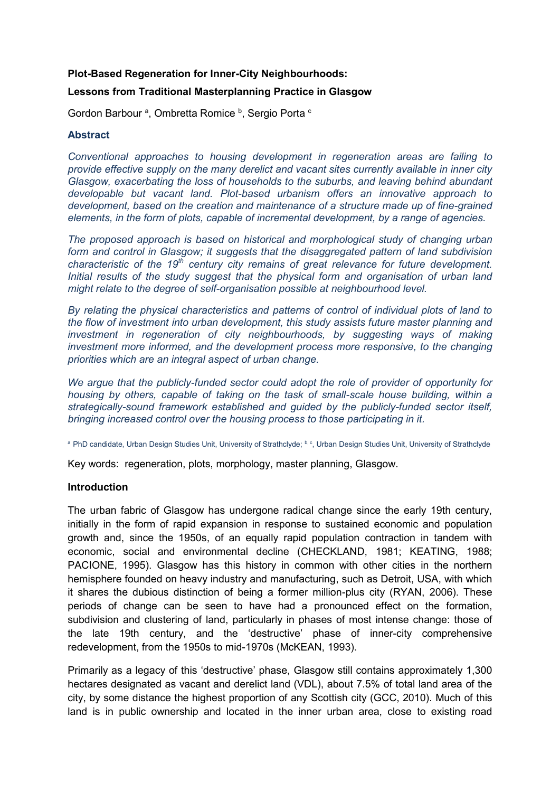### **Plot-Based Regeneration for Inner-City Neighbourhoods:**

### **Lessons from Traditional Masterplanning Practice in Glasgow**

Gordon Barbour<sup>a</sup>, Ombretta Romice<sup>b</sup>, Sergio Porta<sup>c</sup>

### **Abstract**

*Conventional approaches to housing development in regeneration areas are failing to provide effective supply on the many derelict and vacant sites currently available in inner city Glasgow, exacerbating the loss of households to the suburbs, and leaving behind abundant developable but vacant land. Plot-based urbanism offers an innovative approach to development, based on the creation and maintenance of a structure made up of fine-grained elements, in the form of plots, capable of incremental development, by a range of agencies.* 

*The proposed approach is based on historical and morphological study of changing urban form and control in Glasgow; it suggests that the disaggregated pattern of land subdivision characteristic of the 19th century city remains of great relevance for future development. Initial results of the study suggest that the physical form and organisation of urban land might relate to the degree of self-organisation possible at neighbourhood level.*

*By relating the physical characteristics and patterns of control of individual plots of land to the flow of investment into urban development, this study assists future master planning and investment in regeneration of city neighbourhoods, by suggesting ways of making investment more informed, and the development process more responsive, to the changing priorities which are an integral aspect of urban change.*

*We argue that the publicly-funded sector could adopt the role of provider of opportunity for housing by others, capable of taking on the task of small-scale house building, within a strategically-sound framework established and guided by the publicly-funded sector itself, bringing increased control over the housing process to those participating in it.*

a PhD candidate, Urban Design Studies Unit, University of Strathclyde; b,c, Urban Design Studies Unit, University of Strathclyde

Key words: regeneration, plots, morphology, master planning, Glasgow.

### **Introduction**

The urban fabric of Glasgow has undergone radical change since the early 19th century, initially in the form of rapid expansion in response to sustained economic and population growth and, since the 1950s, of an equally rapid population contraction in tandem with economic, social and environmental decline (CHECKLAND, 1981; KEATING, 1988; PACIONE, 1995). Glasgow has this history in common with other cities in the northern hemisphere founded on heavy industry and manufacturing, such as Detroit, USA, with which it shares the dubious distinction of being a former million-plus city (RYAN, 2006). These periods of change can be seen to have had a pronounced effect on the formation, subdivision and clustering of land, particularly in phases of most intense change: those of the late 19th century, and the 'destructive' phase of inner-city comprehensive redevelopment, from the 1950s to mid-1970s (McKEAN, 1993).

Primarily as a legacy of this 'destructive' phase, Glasgow still contains approximately 1,300 hectares designated as vacant and derelict land (VDL), about 7.5% of total land area of the city, by some distance the highest proportion of any Scottish city (GCC, 2010). Much of this land is in public ownership and located in the inner urban area, close to existing road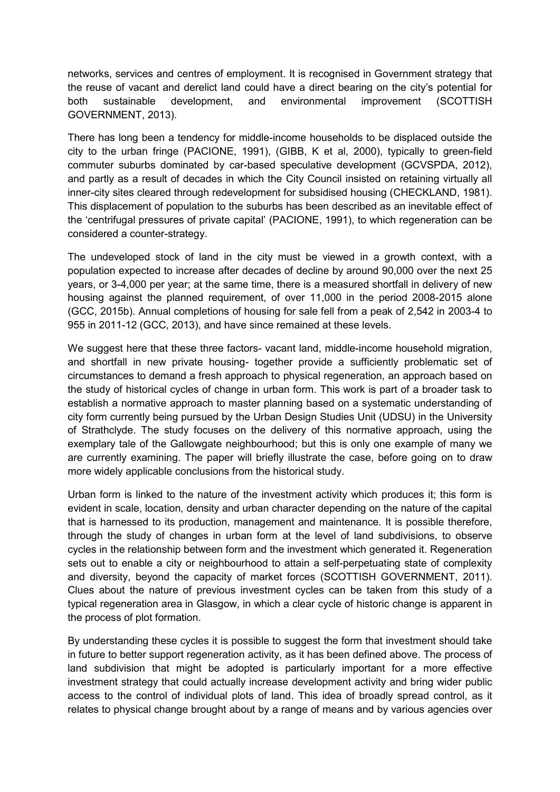networks, services and centres of employment. It is recognised in Government strategy that the reuse of vacant and derelict land could have a direct bearing on the city's potential for both sustainable development, and environmental improvement (SCOTTISH GOVERNMENT, 2013).

There has long been a tendency for middle-income households to be displaced outside the city to the urban fringe (PACIONE, 1991), (GIBB, K et al, 2000), typically to green-field commuter suburbs dominated by car-based speculative development (GCVSPDA, 2012), and partly as a result of decades in which the City Council insisted on retaining virtually all inner-city sites cleared through redevelopment for subsidised housing (CHECKLAND, 1981). This displacement of population to the suburbs has been described as an inevitable effect of the 'centrifugal pressures of private capital' (PACIONE, 1991), to which regeneration can be considered a counter-strategy.

The undeveloped stock of land in the city must be viewed in a growth context, with a population expected to increase after decades of decline by around 90,000 over the next 25 years, or 3-4,000 per year; at the same time, there is a measured shortfall in delivery of new housing against the planned requirement, of over 11,000 in the period 2008-2015 alone (GCC, 2015b). Annual completions of housing for sale fell from a peak of 2,542 in 2003-4 to 955 in 2011-12 (GCC, 2013), and have since remained at these levels.

We suggest here that these three factors- vacant land, middle-income household migration, and shortfall in new private housing- together provide a sufficiently problematic set of circumstances to demand a fresh approach to physical regeneration, an approach based on the study of historical cycles of change in urban form. This work is part of a broader task to establish a normative approach to master planning based on a systematic understanding of city form currently being pursued by the Urban Design Studies Unit (UDSU) in the University of Strathclyde. The study focuses on the delivery of this normative approach, using the exemplary tale of the Gallowgate neighbourhood; but this is only one example of many we are currently examining. The paper will briefly illustrate the case, before going on to draw more widely applicable conclusions from the historical study.

Urban form is linked to the nature of the investment activity which produces it; this form is evident in scale, location, density and urban character depending on the nature of the capital that is harnessed to its production, management and maintenance. It is possible therefore, through the study of changes in urban form at the level of land subdivisions, to observe cycles in the relationship between form and the investment which generated it. Regeneration sets out to enable a city or neighbourhood to attain a self-perpetuating state of complexity and diversity, beyond the capacity of market forces (SCOTTISH GOVERNMENT, 2011). Clues about the nature of previous investment cycles can be taken from this study of a typical regeneration area in Glasgow, in which a clear cycle of historic change is apparent in the process of plot formation.

By understanding these cycles it is possible to suggest the form that investment should take in future to better support regeneration activity, as it has been defined above. The process of land subdivision that might be adopted is particularly important for a more effective investment strategy that could actually increase development activity and bring wider public access to the control of individual plots of land. This idea of broadly spread control, as it relates to physical change brought about by a range of means and by various agencies over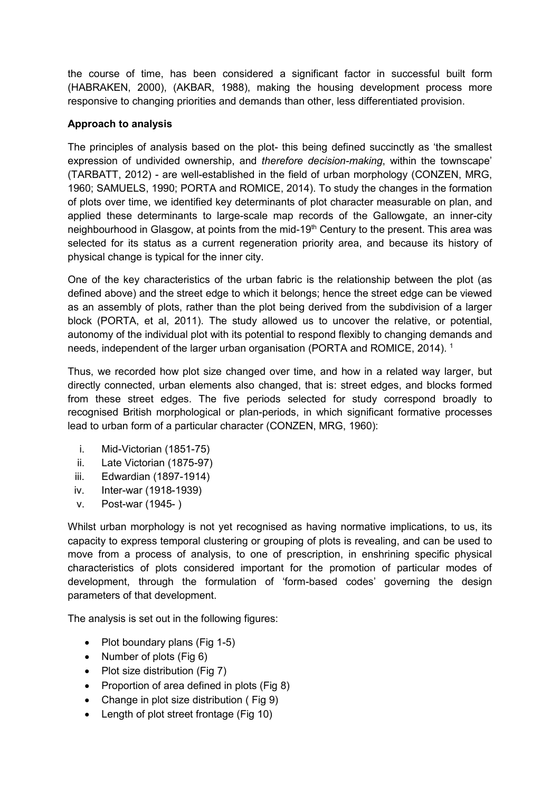the course of time, has been considered a significant factor in successful built form (HABRAKEN, 2000), (AKBAR, 1988), making the housing development process more responsive to changing priorities and demands than other, less differentiated provision.

# **Approach to analysis**

The principles of analysis based on the plot- this being defined succinctly as 'the smallest expression of undivided ownership, and *therefore decision-making*, within the townscape' (TARBATT, 2012) - are well-established in the field of urban morphology (CONZEN, MRG, 1960; SAMUELS, 1990; PORTA and ROMICE, 2014). To study the changes in the formation of plots over time, we identified key determinants of plot character measurable on plan, and applied these determinants to large-scale map records of the Gallowgate, an inner-city neighbourhood in Glasgow, at points from the mid-19<sup>th</sup> Century to the present. This area was selected for its status as a current regeneration priority area, and because its history of physical change is typical for the inner city.

One of the key characteristics of the urban fabric is the relationship between the plot (as defined above) and the street edge to which it belongs; hence the street edge can be viewed as an assembly of plots, rather than the plot being derived from the subdivision of a larger block (PORTA, et al, 2011). The study allowed us to uncover the relative, or potential, autonomy of the individual plot with its potential to respond flexibly to changing demands and needs, independent of the larger urban organisation (PORTA and ROMICE, 2014). <sup>1</sup>

Thus, we recorded how plot size changed over time, and how in a related way larger, but directly connected, urban elements also changed, that is: street edges, and blocks formed from these street edges. The five periods selected for study correspond broadly to recognised British morphological or plan-periods, in which significant formative processes lead to urban form of a particular character (CONZEN, MRG, 1960):

- i. Mid-Victorian (1851-75)
- ii. Late Victorian (1875-97)
- iii. Edwardian (1897-1914)
- iv. Inter-war (1918-1939)
- v. Post-war (1945- )

Whilst urban morphology is not yet recognised as having normative implications, to us, its capacity to express temporal clustering or grouping of plots is revealing, and can be used to move from a process of analysis, to one of prescription, in enshrining specific physical characteristics of plots considered important for the promotion of particular modes of development, through the formulation of 'form-based codes' governing the design parameters of that development.

The analysis is set out in the following figures:

- Plot boundary plans (Fig 1-5)
- Number of plots  $(Fia 6)$
- Plot size distribution (Fig 7)
- Proportion of area defined in plots (Fig 8)
- Change in plot size distribution (Fig 9)
- Length of plot street frontage (Fig 10)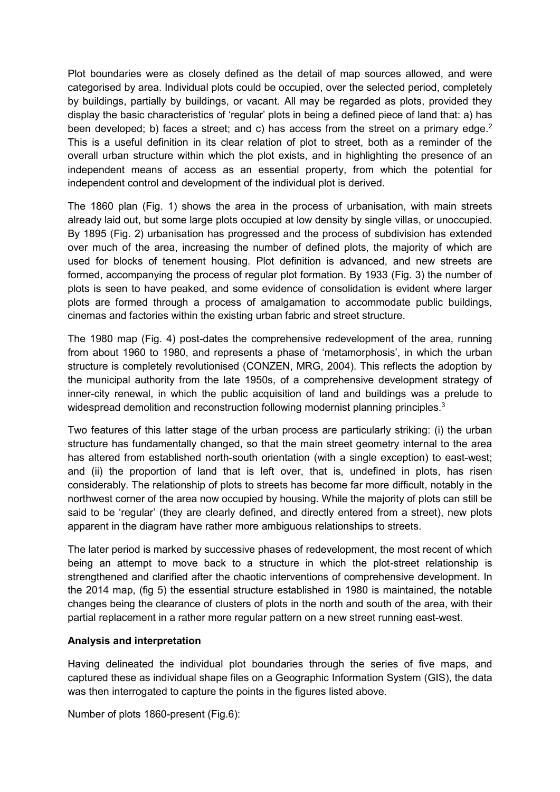Plot boundaries were as closely defined as the detail of map sources allowed, and were categorised by area. Individual plots could be occupied, over the selected period, completely by buildings, partially by buildings, or vacant. All may be regarded as plots, provided they display the basic characteristics of 'regular' plots in being a defined piece of land that: a) has been developed; b) faces a street; and c) has access from the street on a primary edge.<sup>2</sup> This is a useful definition in its clear relation of plot to street, both as a reminder of the overall urban structure within which the plot exists, and in highlighting the presence of an independent means of access as an essential property, from which the potential for independent control and development of the individual plot is derived.

The 1860 plan (Fig. 1) shows the area in the process of urbanisation, with main streets already laid out, but some large plots occupied at low density by single villas, or unoccupied. By 1895 (Fig. 2) urbanisation has progressed and the process of subdivision has extended over much of the area, increasing the number of defined plots, the majority of which are used for blocks of tenement housing. Plot definition is advanced, and new streets are formed, accompanying the process of regular plot formation. By 1933 (Fig. 3) the number of plots is seen to have peaked, and some evidence of consolidation is evident where larger plots are formed through a process of amalgamation to accommodate public buildings, cinemas and factories within the existing urban fabric and street structure.

The 1980 map (Fig. 4) post-dates the comprehensive redevelopment of the area, running from about 1960 to 1980, and represents a phase of 'metamorphosis', in which the urban structure is completely revolutionised (CONZEN, MRG, 2004). This reflects the adoption by the municipal authority from the late 1950s, of a comprehensive development strategy of inner-city renewal, in which the public acquisition of land and buildings was a prelude to widespread demolition and reconstruction following modernist planning principles.<sup>3</sup>

Two features of this latter stage of the urban process are particularly striking: (i) the urban structure has fundamentally changed, so that the main street geometry internal to the area has altered from established north-south orientation (with a single exception) to east-west; and (ii) the proportion of land that is left over, that is, undefined in plots, has risen considerably. The relationship of plots to streets has become far more difficult, notably in the northwest corner of the area now occupied by housing. While the majority of plots can still be said to be 'regular' (they are clearly defined, and directly entered from a street), new plots apparent in the diagram have rather more ambiguous relationships to streets.

The later period is marked by successive phases of redevelopment, the most recent of which being an attempt to move back to a structure in which the plot-street relationship is strengthened and clarified after the chaotic interventions of comprehensive development. In the 2014 map, (fig 5) the essential structure established in 1980 is maintained, the notable changes being the clearance of clusters of plots in the north and south of the area, with their partial replacement in a rather more regular pattern on a new street running east-west.

## **Analysis and interpretation**

Having delineated the individual plot boundaries through the series of five maps, and captured these as individual shape files on a Geographic Information System (GIS), the data was then interrogated to capture the points in the figures listed above.

Number of plots 1860-present (Fig.6):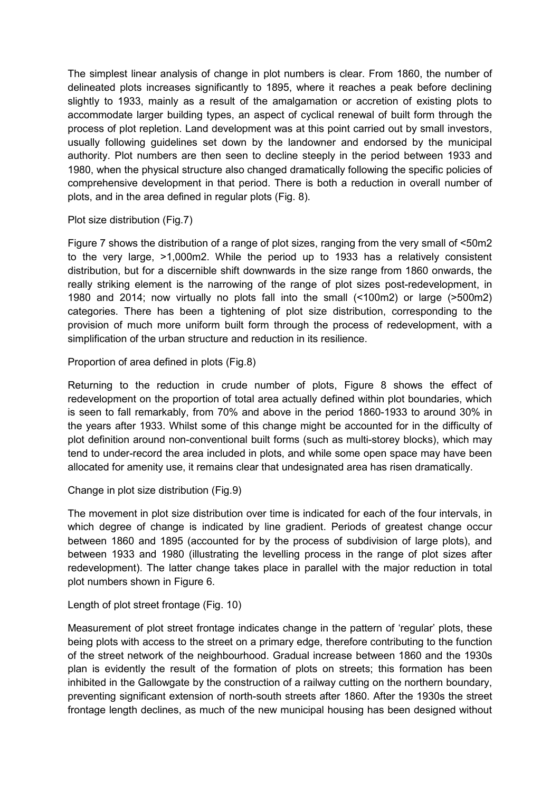The simplest linear analysis of change in plot numbers is clear. From 1860, the number of delineated plots increases significantly to 1895, where it reaches a peak before declining slightly to 1933, mainly as a result of the amalgamation or accretion of existing plots to accommodate larger building types, an aspect of cyclical renewal of built form through the process of plot repletion. Land development was at this point carried out by small investors, usually following guidelines set down by the landowner and endorsed by the municipal authority. Plot numbers are then seen to decline steeply in the period between 1933 and 1980, when the physical structure also changed dramatically following the specific policies of comprehensive development in that period. There is both a reduction in overall number of plots, and in the area defined in regular plots (Fig. 8).

Plot size distribution (Fig.7)

Figure 7 shows the distribution of a range of plot sizes, ranging from the very small of <50m2 to the very large, >1,000m2. While the period up to 1933 has a relatively consistent distribution, but for a discernible shift downwards in the size range from 1860 onwards, the really striking element is the narrowing of the range of plot sizes post-redevelopment, in 1980 and 2014; now virtually no plots fall into the small (<100m2) or large (>500m2) categories. There has been a tightening of plot size distribution, corresponding to the provision of much more uniform built form through the process of redevelopment, with a simplification of the urban structure and reduction in its resilience.

Proportion of area defined in plots (Fig.8)

Returning to the reduction in crude number of plots, Figure 8 shows the effect of redevelopment on the proportion of total area actually defined within plot boundaries, which is seen to fall remarkably, from 70% and above in the period 1860-1933 to around 30% in the years after 1933. Whilst some of this change might be accounted for in the difficulty of plot definition around non-conventional built forms (such as multi-storey blocks), which may tend to under-record the area included in plots, and while some open space may have been allocated for amenity use, it remains clear that undesignated area has risen dramatically.

Change in plot size distribution (Fig.9)

The movement in plot size distribution over time is indicated for each of the four intervals, in which degree of change is indicated by line gradient. Periods of greatest change occur between 1860 and 1895 (accounted for by the process of subdivision of large plots), and between 1933 and 1980 (illustrating the levelling process in the range of plot sizes after redevelopment). The latter change takes place in parallel with the major reduction in total plot numbers shown in Figure 6.

Length of plot street frontage (Fig. 10)

Measurement of plot street frontage indicates change in the pattern of 'regular' plots, these being plots with access to the street on a primary edge, therefore contributing to the function of the street network of the neighbourhood. Gradual increase between 1860 and the 1930s plan is evidently the result of the formation of plots on streets; this formation has been inhibited in the Gallowgate by the construction of a railway cutting on the northern boundary, preventing significant extension of north-south streets after 1860. After the 1930s the street frontage length declines, as much of the new municipal housing has been designed without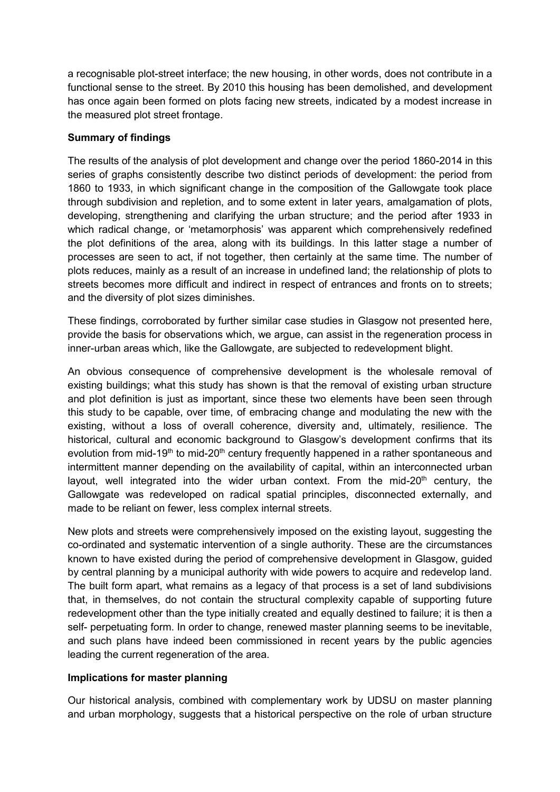a recognisable plot-street interface; the new housing, in other words, does not contribute in a functional sense to the street. By 2010 this housing has been demolished, and development has once again been formed on plots facing new streets, indicated by a modest increase in the measured plot street frontage.

## **Summary of findings**

The results of the analysis of plot development and change over the period 1860-2014 in this series of graphs consistently describe two distinct periods of development: the period from 1860 to 1933, in which significant change in the composition of the Gallowgate took place through subdivision and repletion, and to some extent in later years, amalgamation of plots, developing, strengthening and clarifying the urban structure; and the period after 1933 in which radical change, or 'metamorphosis' was apparent which comprehensively redefined the plot definitions of the area, along with its buildings. In this latter stage a number of processes are seen to act, if not together, then certainly at the same time. The number of plots reduces, mainly as a result of an increase in undefined land; the relationship of plots to streets becomes more difficult and indirect in respect of entrances and fronts on to streets; and the diversity of plot sizes diminishes.

These findings, corroborated by further similar case studies in Glasgow not presented here, provide the basis for observations which, we argue, can assist in the regeneration process in inner-urban areas which, like the Gallowgate, are subjected to redevelopment blight.

An obvious consequence of comprehensive development is the wholesale removal of existing buildings; what this study has shown is that the removal of existing urban structure and plot definition is just as important, since these two elements have been seen through this study to be capable, over time, of embracing change and modulating the new with the existing, without a loss of overall coherence, diversity and, ultimately, resilience. The historical, cultural and economic background to Glasgow's development confirms that its evolution from mid-19<sup>th</sup> to mid-20<sup>th</sup> century frequently happened in a rather spontaneous and intermittent manner depending on the availability of capital, within an interconnected urban layout, well integrated into the wider urban context. From the mid-20<sup>th</sup> century, the Gallowgate was redeveloped on radical spatial principles, disconnected externally, and made to be reliant on fewer, less complex internal streets.

New plots and streets were comprehensively imposed on the existing layout, suggesting the co-ordinated and systematic intervention of a single authority. These are the circumstances known to have existed during the period of comprehensive development in Glasgow, guided by central planning by a municipal authority with wide powers to acquire and redevelop land. The built form apart, what remains as a legacy of that process is a set of land subdivisions that, in themselves, do not contain the structural complexity capable of supporting future redevelopment other than the type initially created and equally destined to failure; it is then a self- perpetuating form. In order to change, renewed master planning seems to be inevitable, and such plans have indeed been commissioned in recent years by the public agencies leading the current regeneration of the area.

## **Implications for master planning**

Our historical analysis, combined with complementary work by UDSU on master planning and urban morphology, suggests that a historical perspective on the role of urban structure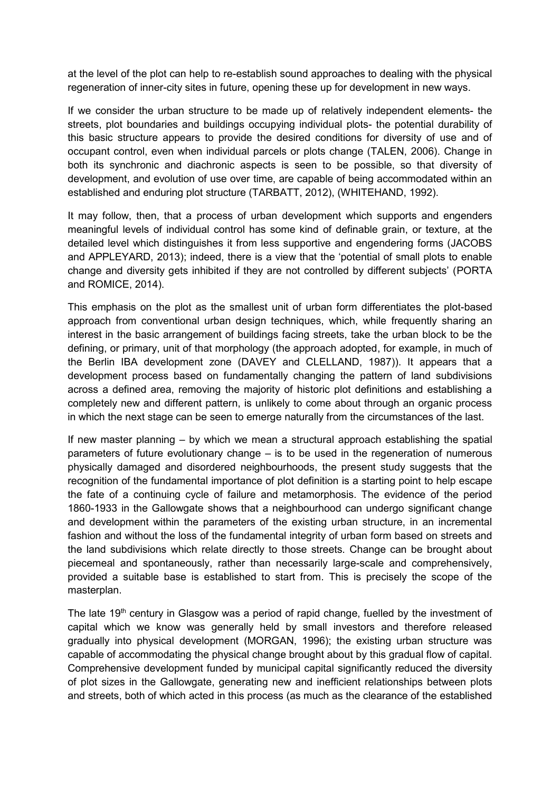at the level of the plot can help to re-establish sound approaches to dealing with the physical regeneration of inner-city sites in future, opening these up for development in new ways.

If we consider the urban structure to be made up of relatively independent elements- the streets, plot boundaries and buildings occupying individual plots- the potential durability of this basic structure appears to provide the desired conditions for diversity of use and of occupant control, even when individual parcels or plots change (TALEN, 2006). Change in both its synchronic and diachronic aspects is seen to be possible, so that diversity of development, and evolution of use over time, are capable of being accommodated within an established and enduring plot structure (TARBATT, 2012), (WHITEHAND, 1992).

It may follow, then, that a process of urban development which supports and engenders meaningful levels of individual control has some kind of definable grain, or texture, at the detailed level which distinguishes it from less supportive and engendering forms (JACOBS and APPLEYARD, 2013); indeed, there is a view that the 'potential of small plots to enable change and diversity gets inhibited if they are not controlled by different subjects' (PORTA and ROMICE, 2014).

This emphasis on the plot as the smallest unit of urban form differentiates the plot-based approach from conventional urban design techniques, which, while frequently sharing an interest in the basic arrangement of buildings facing streets, take the urban block to be the defining, or primary, unit of that morphology (the approach adopted, for example, in much of the Berlin IBA development zone (DAVEY and CLELLAND, 1987)). It appears that a development process based on fundamentally changing the pattern of land subdivisions across a defined area, removing the majority of historic plot definitions and establishing a completely new and different pattern, is unlikely to come about through an organic process in which the next stage can be seen to emerge naturally from the circumstances of the last.

If new master planning – by which we mean a structural approach establishing the spatial parameters of future evolutionary change – is to be used in the regeneration of numerous physically damaged and disordered neighbourhoods, the present study suggests that the recognition of the fundamental importance of plot definition is a starting point to help escape the fate of a continuing cycle of failure and metamorphosis. The evidence of the period 1860-1933 in the Gallowgate shows that a neighbourhood can undergo significant change and development within the parameters of the existing urban structure, in an incremental fashion and without the loss of the fundamental integrity of urban form based on streets and the land subdivisions which relate directly to those streets. Change can be brought about piecemeal and spontaneously, rather than necessarily large-scale and comprehensively, provided a suitable base is established to start from. This is precisely the scope of the masterplan.

The late 19<sup>th</sup> century in Glasgow was a period of rapid change, fuelled by the investment of capital which we know was generally held by small investors and therefore released gradually into physical development (MORGAN, 1996); the existing urban structure was capable of accommodating the physical change brought about by this gradual flow of capital. Comprehensive development funded by municipal capital significantly reduced the diversity of plot sizes in the Gallowgate, generating new and inefficient relationships between plots and streets, both of which acted in this process (as much as the clearance of the established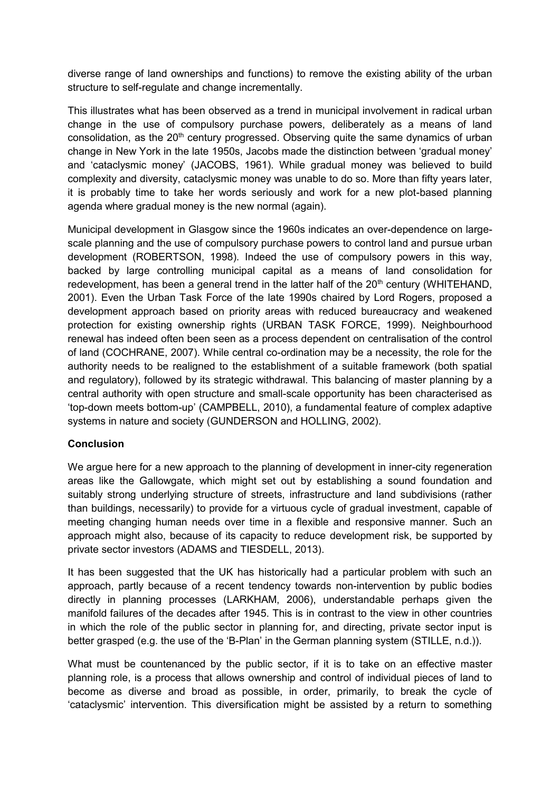diverse range of land ownerships and functions) to remove the existing ability of the urban structure to self-regulate and change incrementally.

This illustrates what has been observed as a trend in municipal involvement in radical urban change in the use of compulsory purchase powers, deliberately as a means of land consolidation, as the 20<sup>th</sup> century progressed. Observing quite the same dynamics of urban change in New York in the late 1950s, Jacobs made the distinction between 'gradual money' and 'cataclysmic money' (JACOBS, 1961). While gradual money was believed to build complexity and diversity, cataclysmic money was unable to do so. More than fifty years later, it is probably time to take her words seriously and work for a new plot-based planning agenda where gradual money is the new normal (again).

Municipal development in Glasgow since the 1960s indicates an over-dependence on largescale planning and the use of compulsory purchase powers to control land and pursue urban development (ROBERTSON, 1998). Indeed the use of compulsory powers in this way, backed by large controlling municipal capital as a means of land consolidation for redevelopment, has been a general trend in the latter half of the 20<sup>th</sup> century (WHITEHAND, 2001). Even the Urban Task Force of the late 1990s chaired by Lord Rogers, proposed a development approach based on priority areas with reduced bureaucracy and weakened protection for existing ownership rights (URBAN TASK FORCE, 1999). Neighbourhood renewal has indeed often been seen as a process dependent on centralisation of the control of land (COCHRANE, 2007). While central co-ordination may be a necessity, the role for the authority needs to be realigned to the establishment of a suitable framework (both spatial and regulatory), followed by its strategic withdrawal. This balancing of master planning by a central authority with open structure and small-scale opportunity has been characterised as 'top-down meets bottom-up' (CAMPBELL, 2010), a fundamental feature of complex adaptive systems in nature and society (GUNDERSON and HOLLING, 2002).

# **Conclusion**

We argue here for a new approach to the planning of development in inner-city regeneration areas like the Gallowgate, which might set out by establishing a sound foundation and suitably strong underlying structure of streets, infrastructure and land subdivisions (rather than buildings, necessarily) to provide for a virtuous cycle of gradual investment, capable of meeting changing human needs over time in a flexible and responsive manner. Such an approach might also, because of its capacity to reduce development risk, be supported by private sector investors (ADAMS and TIESDELL, 2013).

It has been suggested that the UK has historically had a particular problem with such an approach, partly because of a recent tendency towards non-intervention by public bodies directly in planning processes (LARKHAM, 2006), understandable perhaps given the manifold failures of the decades after 1945. This is in contrast to the view in other countries in which the role of the public sector in planning for, and directing, private sector input is better grasped (e.g. the use of the 'B-Plan' in the German planning system (STILLE, n.d.)).

What must be countenanced by the public sector, if it is to take on an effective master planning role, is a process that allows ownership and control of individual pieces of land to become as diverse and broad as possible, in order, primarily, to break the cycle of 'cataclysmic' intervention. This diversification might be assisted by a return to something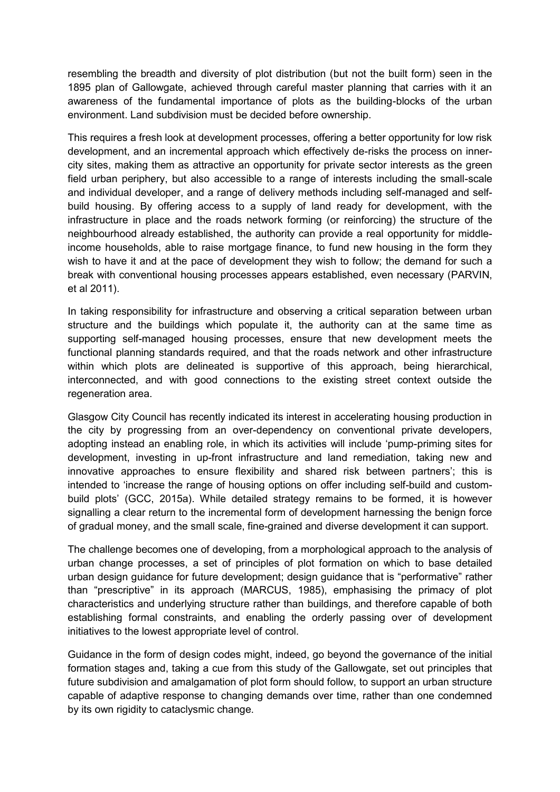resembling the breadth and diversity of plot distribution (but not the built form) seen in the 1895 plan of Gallowgate, achieved through careful master planning that carries with it an awareness of the fundamental importance of plots as the building-blocks of the urban environment. Land subdivision must be decided before ownership.

This requires a fresh look at development processes, offering a better opportunity for low risk development, and an incremental approach which effectively de-risks the process on innercity sites, making them as attractive an opportunity for private sector interests as the green field urban periphery, but also accessible to a range of interests including the small-scale and individual developer, and a range of delivery methods including self-managed and selfbuild housing. By offering access to a supply of land ready for development, with the infrastructure in place and the roads network forming (or reinforcing) the structure of the neighbourhood already established, the authority can provide a real opportunity for middleincome households, able to raise mortgage finance, to fund new housing in the form they wish to have it and at the pace of development they wish to follow; the demand for such a break with conventional housing processes appears established, even necessary (PARVIN, et al 2011).

In taking responsibility for infrastructure and observing a critical separation between urban structure and the buildings which populate it, the authority can at the same time as supporting self-managed housing processes, ensure that new development meets the functional planning standards required, and that the roads network and other infrastructure within which plots are delineated is supportive of this approach, being hierarchical, interconnected, and with good connections to the existing street context outside the regeneration area.

Glasgow City Council has recently indicated its interest in accelerating housing production in the city by progressing from an over-dependency on conventional private developers, adopting instead an enabling role, in which its activities will include 'pump-priming sites for development, investing in up-front infrastructure and land remediation, taking new and innovative approaches to ensure flexibility and shared risk between partners'; this is intended to 'increase the range of housing options on offer including self-build and custombuild plots' (GCC, 2015a). While detailed strategy remains to be formed, it is however signalling a clear return to the incremental form of development harnessing the benign force of gradual money, and the small scale, fine-grained and diverse development it can support.

The challenge becomes one of developing, from a morphological approach to the analysis of urban change processes, a set of principles of plot formation on which to base detailed urban design guidance for future development; design guidance that is "performative" rather than "prescriptive" in its approach (MARCUS, 1985), emphasising the primacy of plot characteristics and underlying structure rather than buildings, and therefore capable of both establishing formal constraints, and enabling the orderly passing over of development initiatives to the lowest appropriate level of control.

Guidance in the form of design codes might, indeed, go beyond the governance of the initial formation stages and, taking a cue from this study of the Gallowgate, set out principles that future subdivision and amalgamation of plot form should follow, to support an urban structure capable of adaptive response to changing demands over time, rather than one condemned by its own rigidity to cataclysmic change.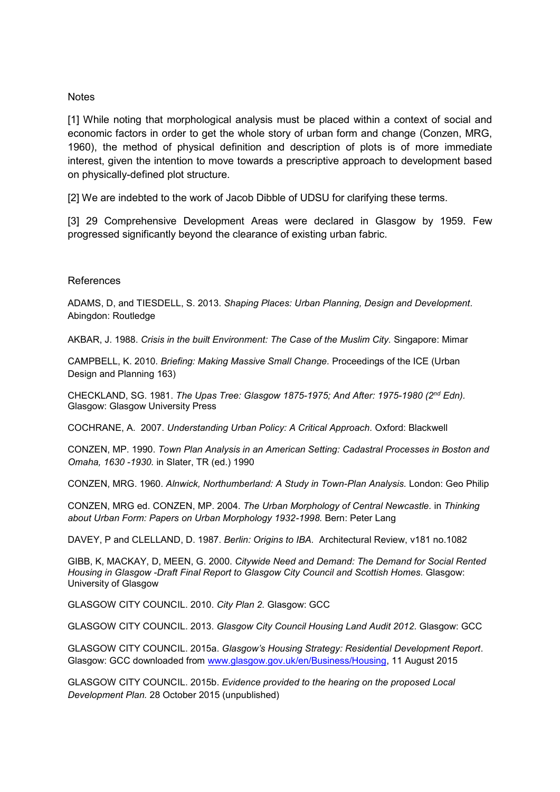### **Notes**

[1] While noting that morphological analysis must be placed within a context of social and economic factors in order to get the whole story of urban form and change (Conzen, MRG, 1960), the method of physical definition and description of plots is of more immediate interest, given the intention to move towards a prescriptive approach to development based on physically-defined plot structure.

[2] We are indebted to the work of Jacob Dibble of UDSU for clarifying these terms.

[3] 29 Comprehensive Development Areas were declared in Glasgow by 1959. Few progressed significantly beyond the clearance of existing urban fabric.

### References

ADAMS, D, and TIESDELL, S. 2013. *Shaping Places: Urban Planning, Design and Development.* Abingdon: Routledge

AKBAR, J. 1988. *Crisis in the built Environment: The Case of the Muslim City.* Singapore: Mimar

CAMPBELL, K. 2010. *Briefing: Making Massive Small Change.* Proceedings of the ICE (Urban Design and Planning 163)

CHECKLAND, SG. 1981. *The Upas Tree: Glasgow 1875-1975; And After: 1975-1980 (2nd Edn).* Glasgow: Glasgow University Press

COCHRANE, A. 2007. *Understanding Urban Policy: A Critical Approach.* Oxford: Blackwell

CONZEN, MP. 1990. *Town Plan Analysis in an American Setting: Cadastral Processes in Boston and Omaha, 1630 -1930.* in Slater, TR (ed.) 1990

CONZEN, MRG. 1960. *Alnwick, Northumberland: A Study in Town-Plan Analysis.* London: Geo Philip

CONZEN, MRG ed. CONZEN, MP. 2004. *The Urban Morphology of Central Newcastle.* in *Thinking about Urban Form: Papers on Urban Morphology 1932-1998.* Bern: Peter Lang

DAVEY, P and CLELLAND, D. 1987. *Berlin: Origins to IBA.* Architectural Review, v181 no.1082

GIBB, K, MACKAY, D, MEEN, G. 2000. *Citywide Need and Demand: The Demand for Social Rented Housing in Glasgow -Draft Final Report to Glasgow City Council and Scottish Homes.* Glasgow: University of Glasgow

GLASGOW CITY COUNCIL. 2010. *City Plan 2.* Glasgow: GCC

GLASGOW CITY COUNCIL. 2013. *Glasgow City Council Housing Land Audit 2012.* Glasgow: GCC

GLASGOW CITY COUNCIL. 2015a. *Glasgow's Housing Strategy: Residential Development Report*. Glasgow: GCC downloaded from [www.glasgow.gov.uk/en/Business/Housing,](http://www.glasgow.gov.uk/en/Business/Housing) 11 August 2015

GLASGOW CITY COUNCIL. 2015b. *Evidence provided to the hearing on the proposed Local Development Plan.* 28 October 2015 (unpublished)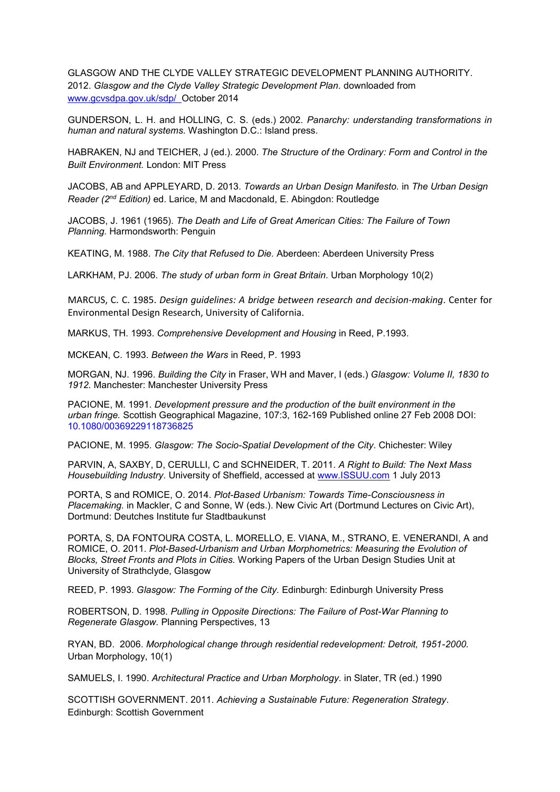GLASGOW AND THE CLYDE VALLEY STRATEGIC DEVELOPMENT PLANNING AUTHORITY. 2012. *Glasgow and the Clyde Valley Strategic Development Plan.* downloaded from [www.gcvsdpa.gov.uk/sdp/](http://www.gcvsdpa.gov.uk/sdp/) October 2014

GUNDERSON, L. H. and HOLLING, C. S. (eds.) 2002. *Panarchy: understanding transformations in human and natural systems.* Washington D.C.: Island press.

HABRAKEN, NJ and TEICHER, J (ed.). 2000. *The Structure of the Ordinary: Form and Control in the Built Environment.* London: MIT Press

JACOBS, AB and APPLEYARD, D. 2013. *Towards an Urban Design Manifesto.* in *The Urban Design Reader (2nd Edition)* ed. Larice, M and Macdonald, E. Abingdon: Routledge

JACOBS, J. 1961 (1965). *The Death and Life of Great American Cities: The Failure of Town Planning.* Harmondsworth: Penguin

KEATING, M. 1988. *The City that Refused to Die.* Aberdeen: Aberdeen University Press

LARKHAM, PJ. 2006. *The study of urban form in Great Britain.* Urban Morphology 10(2)

MARCUS, C. C. 1985. *Design guidelines: A bridge between research and decision-making*. Center for Environmental Design Research, University of California.

MARKUS, TH. 1993. *Comprehensive Development and Housing* in Reed, P.1993.

MCKEAN, C. 1993. *Between the Wars* in Reed, P. 1993

MORGAN, NJ. 1996. *Building the City* in Fraser, WH and Maver, I (eds.) *Glasgow: Volume II, 1830 to 1912.* Manchester: Manchester University Press

PACIONE, M. 1991. *Development pressure and the production of the built environment in the urban fringe.* Scottish Geographical Magazine, 107:3, 162-169 Published online 27 Feb 2008 DOI: 10.1080/00369229118736825

PACIONE, M. 1995. *Glasgow: The Socio-Spatial Development of the City.* Chichester: Wiley

PARVIN, A, SAXBY, D, CERULLI, C and SCHNEIDER, T. 2011. *A Right to Build: The Next Mass Housebuilding Industry.* University of Sheffield, accessed at [www.ISSUU.com](http://www.issuu.com/) 1 July 2013

PORTA, S and ROMICE, O. 2014. *Plot-Based Urbanism: Towards Time-Consciousness in Placemaking.* in Mackler, C and Sonne, W (eds.). New Civic Art (Dortmund Lectures on Civic Art), Dortmund: Deutches Institute fur Stadtbaukunst

PORTA, S, DA FONTOURA COSTA, L. MORELLO, E. VIANA, M., STRANO, E. VENERANDI, A and ROMICE, O. 2011. *Plot-Based-Urbanism and Urban Morphometrics: Measuring the Evolution of Blocks, Street Fronts and Plots in Cities.* Working Papers of the Urban Design Studies Unit at University of Strathclyde, Glasgow

REED, P. 1993. *Glasgow: The Forming of the City.* Edinburgh: Edinburgh University Press

ROBERTSON, D. 1998. *Pulling in Opposite Directions: The Failure of Post-War Planning to Regenerate Glasgow.* Planning Perspectives, 13

RYAN, BD. 2006. *Morphological change through residential redevelopment: Detroit, 1951-2000.* Urban Morphology, 10(1)

SAMUELS, I. 1990. *Architectural Practice and Urban Morphology.* in Slater, TR (ed.) 1990

SCOTTISH GOVERNMENT. 2011. *Achieving a Sustainable Future: Regeneration Strategy*. Edinburgh: Scottish Government